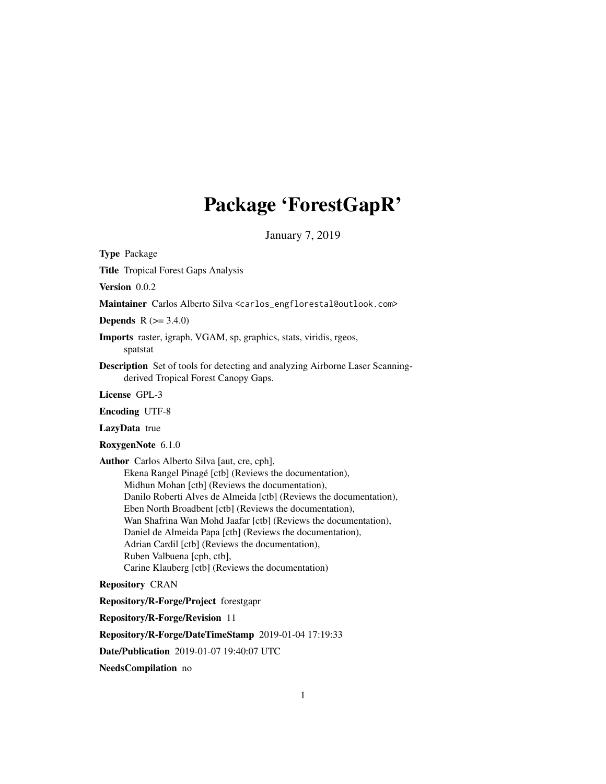## Package 'ForestGapR'

January 7, 2019

<span id="page-0-0"></span>Type Package

Title Tropical Forest Gaps Analysis

Version 0.0.2

Maintainer Carlos Alberto Silva <carlos\_engflorestal@outlook.com>

**Depends**  $R (= 3.4.0)$ 

Imports raster, igraph, VGAM, sp, graphics, stats, viridis, rgeos, spatstat

Description Set of tools for detecting and analyzing Airborne Laser Scanningderived Tropical Forest Canopy Gaps.

License GPL-3

Encoding UTF-8

LazyData true

RoxygenNote 6.1.0

Author Carlos Alberto Silva [aut, cre, cph], Ekena Rangel Pinagé [ctb] (Reviews the documentation), Midhun Mohan [ctb] (Reviews the documentation), Danilo Roberti Alves de Almeida [ctb] (Reviews the documentation), Eben North Broadbent [ctb] (Reviews the documentation), Wan Shafrina Wan Mohd Jaafar [ctb] (Reviews the documentation), Daniel de Almeida Papa [ctb] (Reviews the documentation), Adrian Cardil [ctb] (Reviews the documentation), Ruben Valbuena [cph, ctb], Carine Klauberg [ctb] (Reviews the documentation)

Repository CRAN

Repository/R-Forge/Project forestgapr

Repository/R-Forge/Revision 11

Repository/R-Forge/DateTimeStamp 2019-01-04 17:19:33

Date/Publication 2019-01-07 19:40:07 UTC

NeedsCompilation no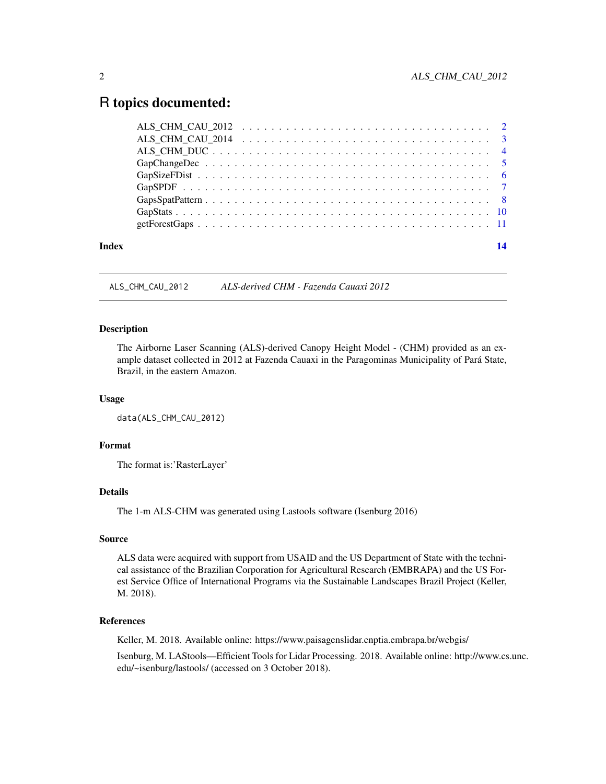### <span id="page-1-0"></span>R topics documented:

| Index |  |
|-------|--|
|       |  |
|       |  |
|       |  |
|       |  |
|       |  |
|       |  |
|       |  |
|       |  |
|       |  |

ALS\_CHM\_CAU\_2012 *ALS-derived CHM - Fazenda Cauaxi 2012*

#### Description

The Airborne Laser Scanning (ALS)-derived Canopy Height Model - (CHM) provided as an example dataset collected in 2012 at Fazenda Cauaxi in the Paragominas Municipality of Pará State, Brazil, in the eastern Amazon.

#### Usage

```
data(ALS_CHM_CAU_2012)
```
#### Format

The format is:'RasterLayer'

#### Details

The 1-m ALS-CHM was generated using Lastools software (Isenburg 2016)

#### Source

ALS data were acquired with support from USAID and the US Department of State with the technical assistance of the Brazilian Corporation for Agricultural Research (EMBRAPA) and the US Forest Service Office of International Programs via the Sustainable Landscapes Brazil Project (Keller, M. 2018).

#### References

Keller, M. 2018. Available online: https://www.paisagenslidar.cnptia.embrapa.br/webgis/

Isenburg, M. LAStools—Efficient Tools for Lidar Processing. 2018. Available online: http://www.cs.unc. edu/~isenburg/lastools/ (accessed on 3 October 2018).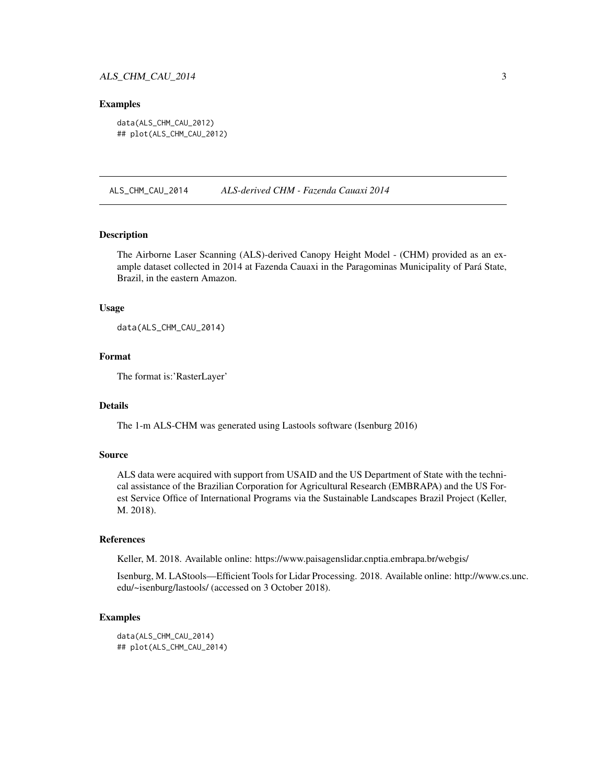#### <span id="page-2-0"></span>ALS\_CHM\_CAU\_2014 3

#### Examples

data(ALS\_CHM\_CAU\_2012) ## plot(ALS\_CHM\_CAU\_2012)

ALS\_CHM\_CAU\_2014 *ALS-derived CHM - Fazenda Cauaxi 2014*

#### **Description**

The Airborne Laser Scanning (ALS)-derived Canopy Height Model - (CHM) provided as an example dataset collected in 2014 at Fazenda Cauaxi in the Paragominas Municipality of Pará State, Brazil, in the eastern Amazon.

#### Usage

data(ALS\_CHM\_CAU\_2014)

#### Format

The format is:'RasterLayer'

#### Details

The 1-m ALS-CHM was generated using Lastools software (Isenburg 2016)

#### Source

ALS data were acquired with support from USAID and the US Department of State with the technical assistance of the Brazilian Corporation for Agricultural Research (EMBRAPA) and the US Forest Service Office of International Programs via the Sustainable Landscapes Brazil Project (Keller, M. 2018).

#### References

Keller, M. 2018. Available online: https://www.paisagenslidar.cnptia.embrapa.br/webgis/

Isenburg, M. LAStools—Efficient Tools for Lidar Processing. 2018. Available online: http://www.cs.unc. edu/~isenburg/lastools/ (accessed on 3 October 2018).

#### Examples

```
data(ALS_CHM_CAU_2014)
## plot(ALS_CHM_CAU_2014)
```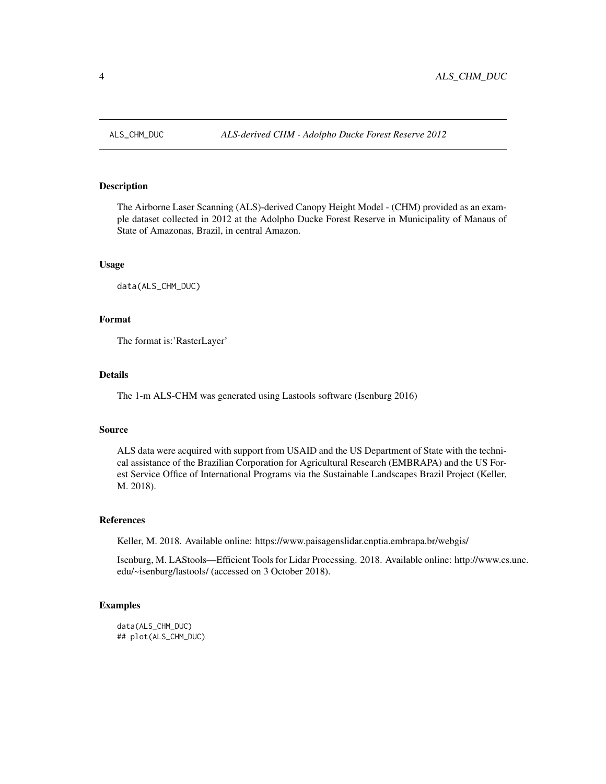<span id="page-3-0"></span>

#### Description

The Airborne Laser Scanning (ALS)-derived Canopy Height Model - (CHM) provided as an example dataset collected in 2012 at the Adolpho Ducke Forest Reserve in Municipality of Manaus of State of Amazonas, Brazil, in central Amazon.

#### Usage

data(ALS\_CHM\_DUC)

#### Format

The format is:'RasterLayer'

#### Details

The 1-m ALS-CHM was generated using Lastools software (Isenburg 2016)

#### Source

ALS data were acquired with support from USAID and the US Department of State with the technical assistance of the Brazilian Corporation for Agricultural Research (EMBRAPA) and the US Forest Service Office of International Programs via the Sustainable Landscapes Brazil Project (Keller, M. 2018).

#### References

Keller, M. 2018. Available online: https://www.paisagenslidar.cnptia.embrapa.br/webgis/

Isenburg, M. LAStools—Efficient Tools for Lidar Processing. 2018. Available online: http://www.cs.unc. edu/~isenburg/lastools/ (accessed on 3 October 2018).

#### Examples

data(ALS\_CHM\_DUC) ## plot(ALS\_CHM\_DUC)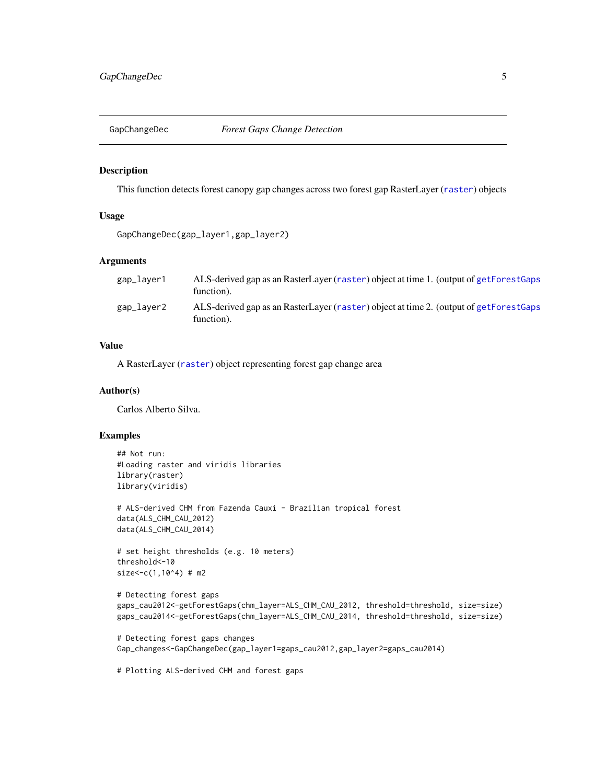<span id="page-4-0"></span>

#### Description

This function detects forest canopy gap changes across two forest gap RasterLayer ([raster](#page-0-0)) objects

#### Usage

```
GapChangeDec(gap_layer1,gap_layer2)
```
#### Arguments

| gap_layer1 | ALS-derived gap as an RasterLayer (raster) object at time 1. (output of getForestGaps<br>function). |
|------------|-----------------------------------------------------------------------------------------------------|
| gap_layer2 | ALS-derived gap as an RasterLayer (raster) object at time 2. (output of getForestGaps<br>function). |

#### Value

A RasterLayer ([raster](#page-0-0)) object representing forest gap change area

#### Author(s)

Carlos Alberto Silva.

#### Examples

```
## Not run:
#Loading raster and viridis libraries
library(raster)
library(viridis)
# ALS-derived CHM from Fazenda Cauxi - Brazilian tropical forest
data(ALS_CHM_CAU_2012)
data(ALS_CHM_CAU_2014)
# set height thresholds (e.g. 10 meters)
threshold<-10
size<-c(1,10^4) # m2
```

```
# Detecting forest gaps
gaps_cau2012<-getForestGaps(chm_layer=ALS_CHM_CAU_2012, threshold=threshold, size=size)
gaps_cau2014<-getForestGaps(chm_layer=ALS_CHM_CAU_2014, threshold=threshold, size=size)
```

```
# Detecting forest gaps changes
Gap_changes<-GapChangeDec(gap_layer1=gaps_cau2012,gap_layer2=gaps_cau2014)
```
# Plotting ALS-derived CHM and forest gaps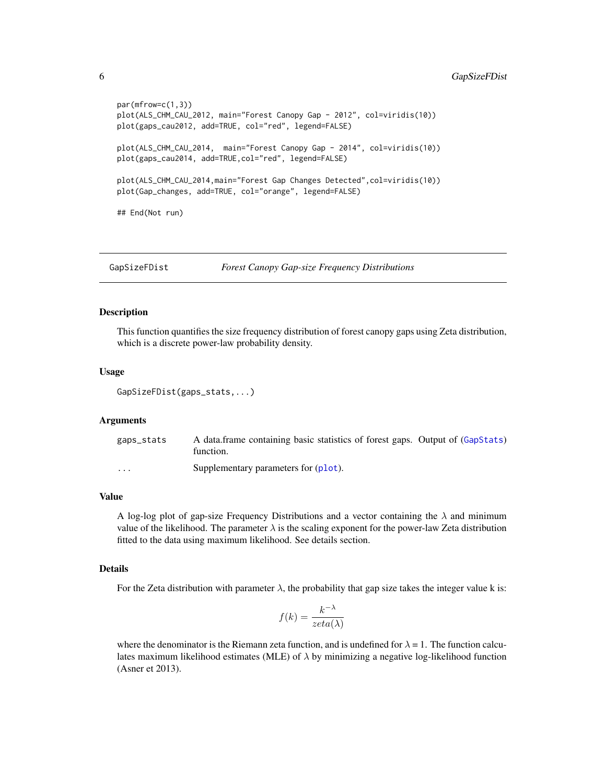```
par(mfrow=c(1,3))
plot(ALS_CHM_CAU_2012, main="Forest Canopy Gap - 2012", col=viridis(10))
plot(gaps_cau2012, add=TRUE, col="red", legend=FALSE)
plot(ALS_CHM_CAU_2014, main="Forest Canopy Gap - 2014", col=viridis(10))
plot(gaps_cau2014, add=TRUE,col="red", legend=FALSE)
plot(ALS_CHM_CAU_2014,main="Forest Gap Changes Detected",col=viridis(10))
plot(Gap_changes, add=TRUE, col="orange", legend=FALSE)
## End(Not run)
```
GapSizeFDist *Forest Canopy Gap-size Frequency Distributions*

#### Description

This function quantifies the size frequency distribution of forest canopy gaps using Zeta distribution, which is a discrete power-law probability density.

#### Usage

```
GapSizeFDist(gaps_stats,...)
```
#### Arguments

| gaps_stats              | A data frame containing basic statistics of forest gaps. Output of (GapStats)<br>function. |
|-------------------------|--------------------------------------------------------------------------------------------|
| $\cdot$ $\cdot$ $\cdot$ | Supplementary parameters for (plot).                                                       |

#### Value

A log-log plot of gap-size Frequency Distributions and a vector containing the  $\lambda$  and minimum value of the likelihood. The parameter  $\lambda$  is the scaling exponent for the power-law Zeta distribution fitted to the data using maximum likelihood. See details section.

#### Details

For the Zeta distribution with parameter  $\lambda$ , the probability that gap size takes the integer value k is:

$$
f(k) = \frac{k^{-\lambda}}{zeta(\lambda)}
$$

where the denominator is the Riemann zeta function, and is undefined for  $\lambda = 1$ . The function calculates maximum likelihood estimates (MLE) of  $\lambda$  by minimizing a negative log-likelihood function (Asner et 2013).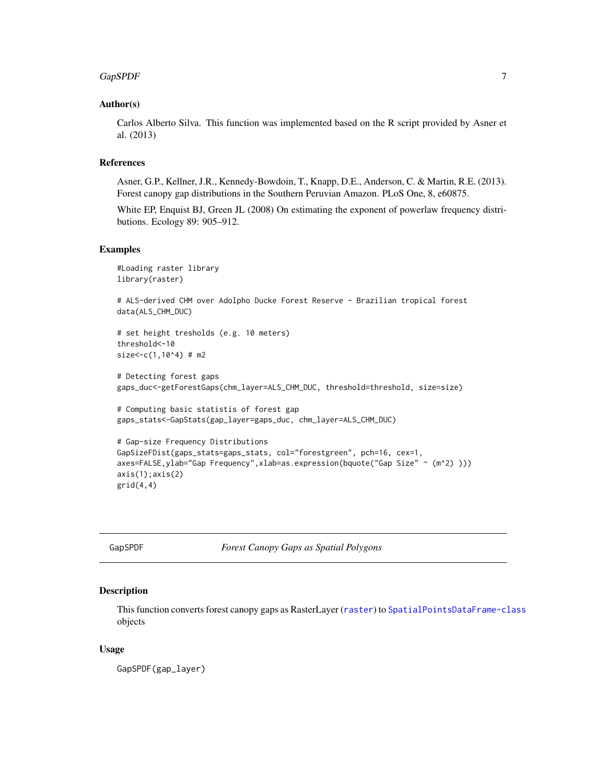#### <span id="page-6-0"></span> $GapSPDF$  7

#### Author(s)

Carlos Alberto Silva. This function was implemented based on the R script provided by Asner et al. (2013)

#### References

Asner, G.P., Kellner, J.R., Kennedy-Bowdoin, T., Knapp, D.E., Anderson, C. & Martin, R.E. (2013). Forest canopy gap distributions in the Southern Peruvian Amazon. PLoS One, 8, e60875.

White EP, Enquist BJ, Green JL (2008) On estimating the exponent of powerlaw frequency distributions. Ecology 89: 905–912.

#### Examples

```
#Loading raster library
library(raster)
# ALS-derived CHM over Adolpho Ducke Forest Reserve - Brazilian tropical forest
data(ALS_CHM_DUC)
# set height tresholds (e.g. 10 meters)
threshold<-10
size < -c(1,10^4) # m2
# Detecting forest gaps
gaps_duc<-getForestGaps(chm_layer=ALS_CHM_DUC, threshold=threshold, size=size)
# Computing basic statistis of forest gap
gaps_stats<-GapStats(gap_layer=gaps_duc, chm_layer=ALS_CHM_DUC)
```

```
# Gap-size Frequency Distributions
GapSizeFDist(gaps_stats=gaps_stats, col="forestgreen", pch=16, cex=1,
axes=FALSE,ylab="Gap Frequency",xlab=as.expression(bquote("Gap Size" ~ (m^2) )))
axis(1);axis(2)
grid(4,4)
```
<span id="page-6-1"></span>GapSPDF *Forest Canopy Gaps as Spatial Polygons*

#### Description

This function converts forest canopy gaps as RasterLayer ([raster](#page-0-0)) to [SpatialPointsDataFrame-class](#page-0-0) objects

#### Usage

GapSPDF(gap\_layer)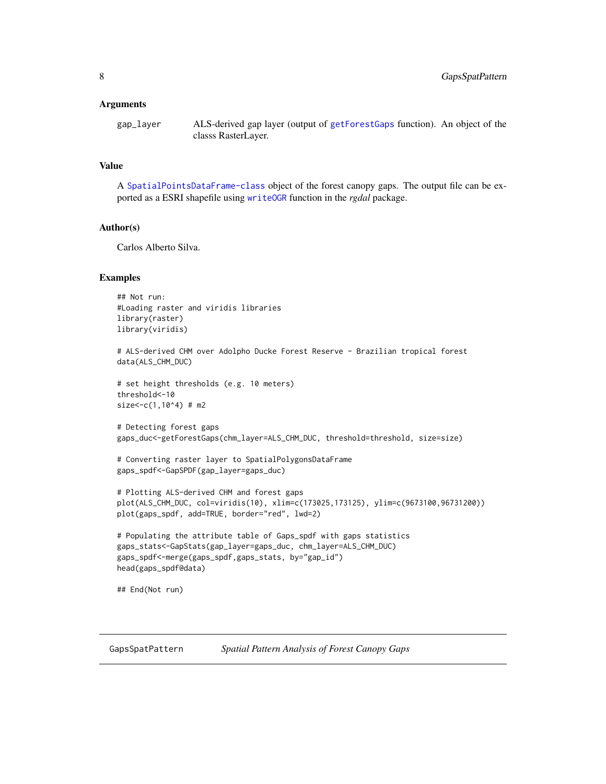#### <span id="page-7-0"></span>Arguments

gap\_layer ALS-derived gap layer (output of [getForestGaps](#page-10-1) function). An object of the classs RasterLayer.

#### Value

A [SpatialPointsDataFrame-class](#page-0-0) object of the forest canopy gaps. The output file can be exported as a ESRI shapefile using [writeOGR](#page-0-0) function in the *rgdal* package.

#### Author(s)

Carlos Alberto Silva.

#### Examples

```
## Not run:
#Loading raster and viridis libraries
library(raster)
library(viridis)
```

```
# ALS-derived CHM over Adolpho Ducke Forest Reserve - Brazilian tropical forest
data(ALS_CHM_DUC)
```

```
# set height thresholds (e.g. 10 meters)
threshold<-10
size<-c(1,10^44) \# m2
```

```
# Detecting forest gaps
gaps_duc<-getForestGaps(chm_layer=ALS_CHM_DUC, threshold=threshold, size=size)
```

```
# Converting raster layer to SpatialPolygonsDataFrame
gaps_spdf<-GapSPDF(gap_layer=gaps_duc)
```

```
# Plotting ALS-derived CHM and forest gaps
plot(ALS_CHM_DUC, col=viridis(10), xlim=c(173025,173125), ylim=c(9673100,96731200))
plot(gaps_spdf, add=TRUE, border="red", lwd=2)
```

```
# Populating the attribute table of Gaps_spdf with gaps statistics
gaps_stats<-GapStats(gap_layer=gaps_duc, chm_layer=ALS_CHM_DUC)
gaps_spdf<-merge(gaps_spdf,gaps_stats, by="gap_id")
head(gaps_spdf@data)
```
## End(Not run)

GapsSpatPattern *Spatial Pattern Analysis of Forest Canopy Gaps*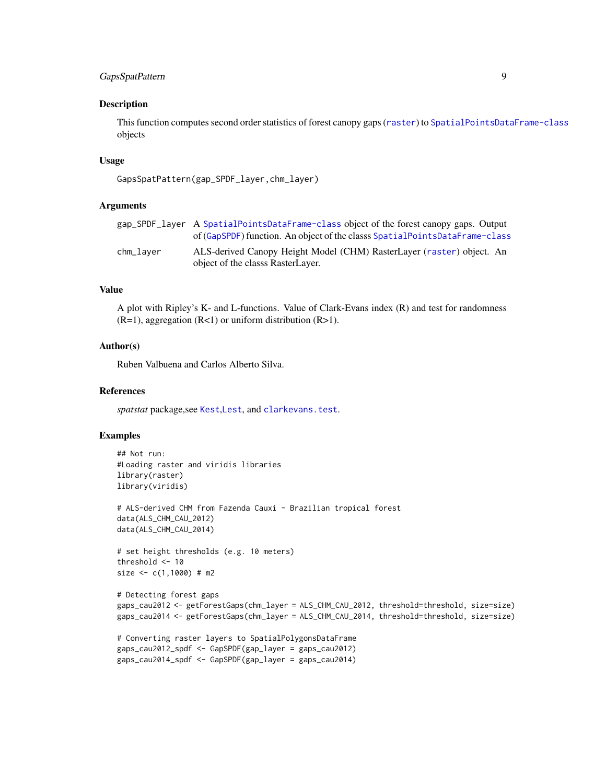#### <span id="page-8-0"></span>GapsSpatPattern 9

#### Description

This function computes second order statistics of forest canopy gaps ([raster](#page-0-0)) to [SpatialPointsDataFrame-class](#page-0-0) objects

#### Usage

```
GapsSpatPattern(gap_SPDF_layer,chm_layer)
```
#### Arguments

|           | gap_SPDF_layer A SpatialPointsDataFrame-class object of the forest canopy gaps. Output |
|-----------|----------------------------------------------------------------------------------------|
|           | of (GapSPDF) function. An object of the classs SpatialPointsDataFrame-class            |
| chm_laver | ALS-derived Canopy Height Model (CHM) RasterLayer (raster) object. An                  |
|           | object of the classs RasterLayer.                                                      |

#### Value

A plot with Ripley's K- and L-functions. Value of Clark-Evans index (R) and test for randomness  $(R=1)$ , aggregation  $(R<1)$  or uniform distribution  $(R>1)$ .

#### Author(s)

Ruben Valbuena and Carlos Alberto Silva.

#### References

*spatstat* package,see [Kest](#page-0-0),[Lest](#page-0-0), and [clarkevans.test](#page-0-0).

#### Examples

```
## Not run:
#Loading raster and viridis libraries
library(raster)
library(viridis)
# ALS-derived CHM from Fazenda Cauxi - Brazilian tropical forest
data(ALS_CHM_CAU_2012)
data(ALS_CHM_CAU_2014)
# set height thresholds (e.g. 10 meters)
threshold <- 10
size <- c(1,1000) # m2
# Detecting forest gaps
gaps_cau2012 <- getForestGaps(chm_layer = ALS_CHM_CAU_2012, threshold=threshold, size=size)
gaps_cau2014 <- getForestGaps(chm_layer = ALS_CHM_CAU_2014, threshold=threshold, size=size)
# Converting raster layers to SpatialPolygonsDataFrame
gaps_cau2012_spdf <- GapSPDF(gap_layer = gaps_cau2012)
gaps_cau2014_spdf <- GapSPDF(gap_layer = gaps_cau2014)
```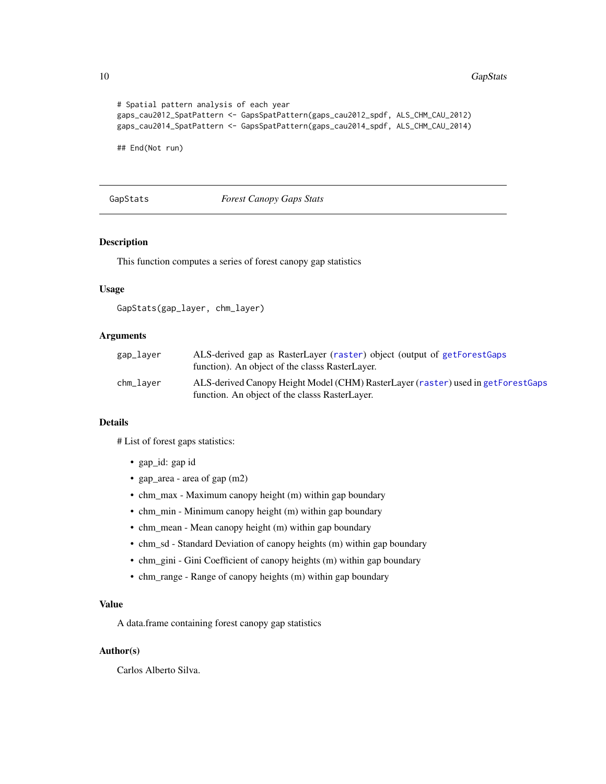#### 10 GapStats and the contract of the contract of the contract of the contract of the contract of the contract of the contract of the contract of the contract of the contract of the contract of the contract of the contract o

```
# Spatial pattern analysis of each year
gaps_cau2012_SpatPattern <- GapsSpatPattern(gaps_cau2012_spdf, ALS_CHM_CAU_2012)
gaps_cau2014_SpatPattern <- GapsSpatPattern(gaps_cau2014_spdf, ALS_CHM_CAU_2014)
```
## End(Not run)

#### <span id="page-9-1"></span>GapStats *Forest Canopy Gaps Stats*

#### Description

This function computes a series of forest canopy gap statistics

#### Usage

```
GapStats(gap_layer, chm_layer)
```
#### Arguments

| gap_layer | ALS-derived gap as RasterLayer (raster) object (output of getForestGaps<br>function). An object of the classs RasterLayer.         |
|-----------|------------------------------------------------------------------------------------------------------------------------------------|
| chm_laver | ALS-derived Canopy Height Model (CHM) RasterLayer (raster) used in getForestGaps<br>function. An object of the classs RasterLayer. |

#### Details

# List of forest gaps statistics:

- gap\_id: gap id
- gap\_area area of gap (m2)
- chm\_max Maximum canopy height (m) within gap boundary
- chm\_min Minimum canopy height (m) within gap boundary
- chm\_mean Mean canopy height (m) within gap boundary
- chm\_sd Standard Deviation of canopy heights (m) within gap boundary
- chm\_gini Gini Coefficient of canopy heights (m) within gap boundary
- chm\_range Range of canopy heights (m) within gap boundary

#### Value

A data.frame containing forest canopy gap statistics

#### Author(s)

Carlos Alberto Silva.

<span id="page-9-0"></span>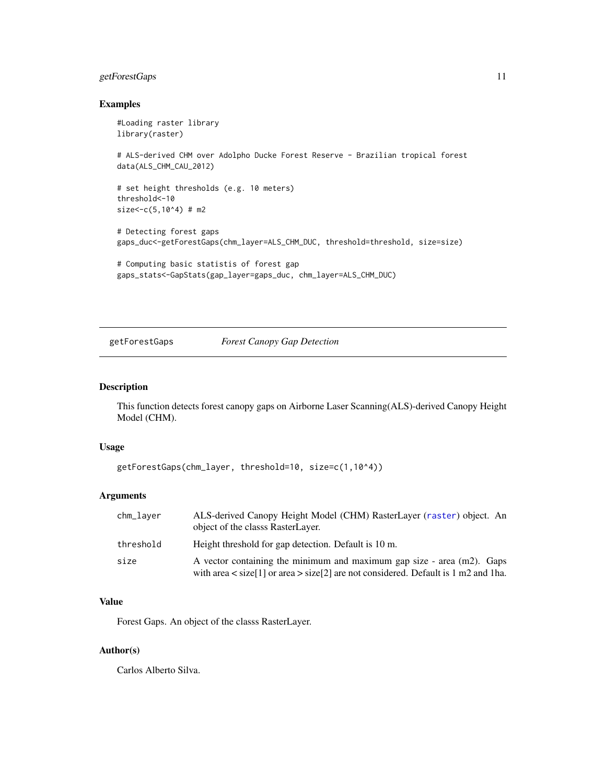#### <span id="page-10-0"></span>getForestGaps 11

#### Examples

```
#Loading raster library
library(raster)
# ALS-derived CHM over Adolpho Ducke Forest Reserve - Brazilian tropical forest
data(ALS_CHM_CAU_2012)
# set height thresholds (e.g. 10 meters)
threshold<-10
size < -c(5,10^4) # m2
# Detecting forest gaps
gaps_duc<-getForestGaps(chm_layer=ALS_CHM_DUC, threshold=threshold, size=size)
# Computing basic statistis of forest gap
```

```
gaps_stats<-GapStats(gap_layer=gaps_duc, chm_layer=ALS_CHM_DUC)
```
<span id="page-10-1"></span>getForestGaps *Forest Canopy Gap Detection*

#### Description

This function detects forest canopy gaps on Airborne Laser Scanning(ALS)-derived Canopy Height Model (CHM).

#### Usage

```
getForestGaps(chm_layer, threshold=10, size=c(1,10^4))
```
#### Arguments

| chm_laver | ALS-derived Canopy Height Model (CHM) RasterLayer (raster) object. An<br>object of the classs RasterLayer.                                                             |
|-----------|------------------------------------------------------------------------------------------------------------------------------------------------------------------------|
| threshold | Height threshold for gap detection. Default is 10 m.                                                                                                                   |
| size      | A vector containing the minimum and maximum gap size - area (m2). Gaps<br>with area $\langle$ size[1] or area $>$ size[2] are not considered. Default is 1 m2 and 1ha. |

#### Value

Forest Gaps. An object of the classs RasterLayer.

#### Author(s)

Carlos Alberto Silva.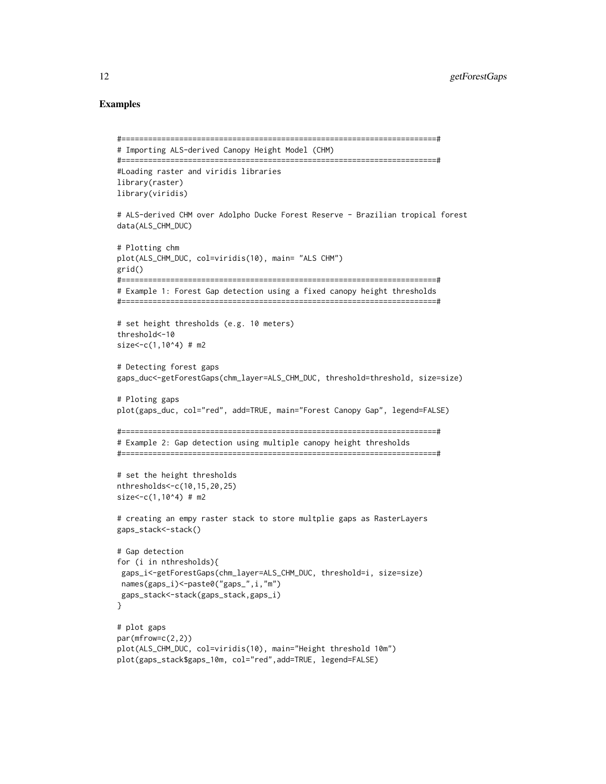#### Examples

```
#=======================================================================#
# Importing ALS-derived Canopy Height Model (CHM)
#=======================================================================#
#Loading raster and viridis libraries
library(raster)
library(viridis)
# ALS-derived CHM over Adolpho Ducke Forest Reserve - Brazilian tropical forest
data(ALS_CHM_DUC)
# Plotting chm
plot(ALS_CHM_DUC, col=viridis(10), main= "ALS CHM")
grid()
#=======================================================================#
# Example 1: Forest Gap detection using a fixed canopy height thresholds
#=======================================================================#
# set height thresholds (e.g. 10 meters)
threshold<-10
size<-c(1,10^4) # m2
# Detecting forest gaps
gaps_duc<-getForestGaps(chm_layer=ALS_CHM_DUC, threshold=threshold, size=size)
# Ploting gaps
plot(gaps_duc, col="red", add=TRUE, main="Forest Canopy Gap", legend=FALSE)
#=======================================================================#
# Example 2: Gap detection using multiple canopy height thresholds
#=======================================================================#
# set the height thresholds
nthresholds<-c(10,15,20,25)
size < -c(1,10^4) # m2
# creating an empy raster stack to store multplie gaps as RasterLayers
gaps_stack<-stack()
# Gap detection
for (i in nthresholds){
 gaps_i<-getForestGaps(chm_layer=ALS_CHM_DUC, threshold=i, size=size)
names(gaps_i)<-paste0("gaps_",i,"m")
 gaps_stack<-stack(gaps_stack,gaps_i)
}
# plot gaps
par(mfrow=c(2,2))
plot(ALS_CHM_DUC, col=viridis(10), main="Height threshold 10m")
plot(gaps_stack$gaps_10m, col="red",add=TRUE, legend=FALSE)
```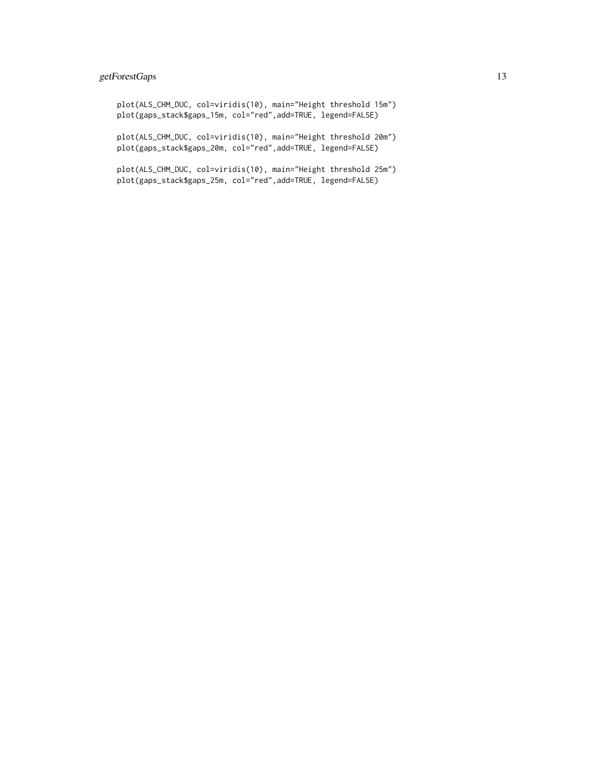#### getForestGaps 13

plot(ALS\_CHM\_DUC, col=viridis(10), main="Height threshold 15m") plot(gaps\_stack\$gaps\_15m, col="red",add=TRUE, legend=FALSE)

plot(ALS\_CHM\_DUC, col=viridis(10), main="Height threshold 20m") plot(gaps\_stack\$gaps\_20m, col="red",add=TRUE, legend=FALSE)

plot(ALS\_CHM\_DUC, col=viridis(10), main="Height threshold 25m") plot(gaps\_stack\$gaps\_25m, col="red",add=TRUE, legend=FALSE)